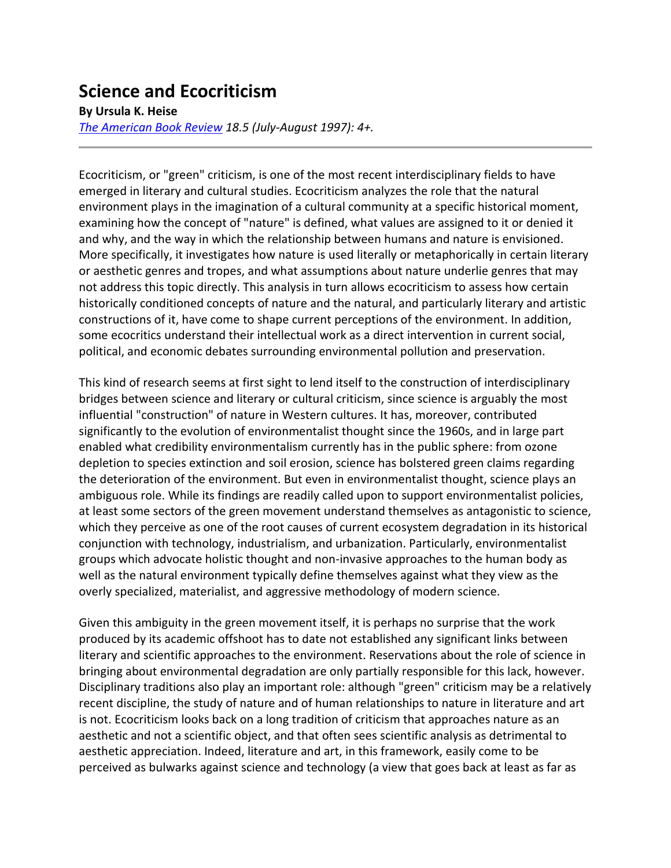## **Science and Ecocriticism**

## **By Ursula K. Heise**

*[The American Book Review](http://americanbookreview.org/) 18.5 (July-August 1997): 4+.*

Ecocriticism, or "green" criticism, is one of the most recent interdisciplinary fields to have emerged in literary and cultural studies. Ecocriticism analyzes the role that the natural environment plays in the imagination of a cultural community at a specific historical moment, examining how the concept of "nature" is defined, what values are assigned to it or denied it and why, and the way in which the relationship between humans and nature is envisioned. More specifically, it investigates how nature is used literally or metaphorically in certain literary or aesthetic genres and tropes, and what assumptions about nature underlie genres that may not address this topic directly. This analysis in turn allows ecocriticism to assess how certain historically conditioned concepts of nature and the natural, and particularly literary and artistic constructions of it, have come to shape current perceptions of the environment. In addition, some ecocritics understand their intellectual work as a direct intervention in current social, political, and economic debates surrounding environmental pollution and preservation.

This kind of research seems at first sight to lend itself to the construction of interdisciplinary bridges between science and literary or cultural criticism, since science is arguably the most influential "construction" of nature in Western cultures. It has, moreover, contributed significantly to the evolution of environmentalist thought since the 1960s, and in large part enabled what credibility environmentalism currently has in the public sphere: from ozone depletion to species extinction and soil erosion, science has bolstered green claims regarding the deterioration of the environment. But even in environmentalist thought, science plays an ambiguous role. While its findings are readily called upon to support environmentalist policies, at least some sectors of the green movement understand themselves as antagonistic to science, which they perceive as one of the root causes of current ecosystem degradation in its historical conjunction with technology, industrialism, and urbanization. Particularly, environmentalist groups which advocate holistic thought and non-invasive approaches to the human body as well as the natural environment typically define themselves against what they view as the overly specialized, materialist, and aggressive methodology of modern science.

Given this ambiguity in the green movement itself, it is perhaps no surprise that the work produced by its academic offshoot has to date not established any significant links between literary and scientific approaches to the environment. Reservations about the role of science in bringing about environmental degradation are only partially responsible for this lack, however. Disciplinary traditions also play an important role: although "green" criticism may be a relatively recent discipline, the study of nature and of human relationships to nature in literature and art is not. Ecocriticism looks back on a long tradition of criticism that approaches nature as an aesthetic and not a scientific object, and that often sees scientific analysis as detrimental to aesthetic appreciation. Indeed, literature and art, in this framework, easily come to be perceived as bulwarks against science and technology (a view that goes back at least as far as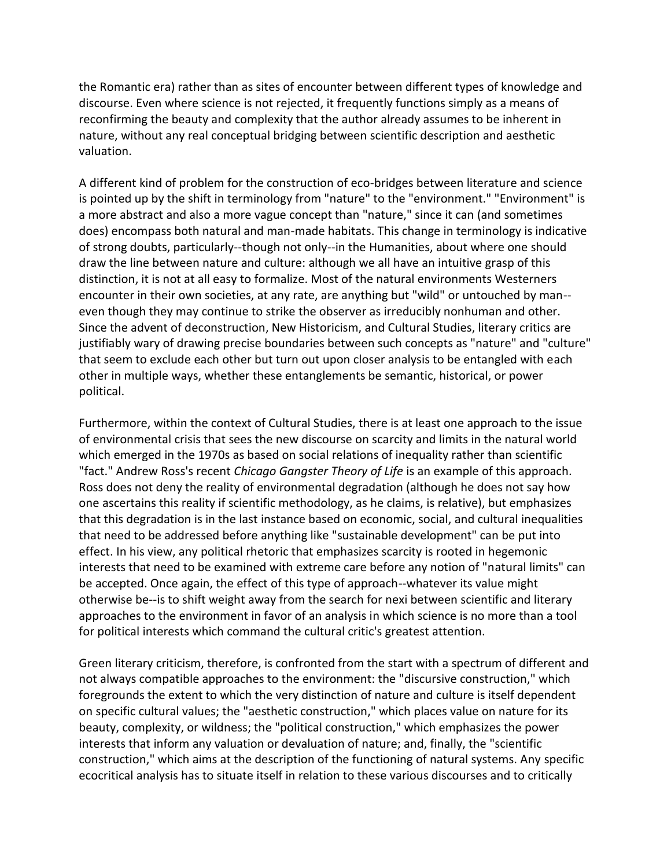the Romantic era) rather than as sites of encounter between different types of knowledge and discourse. Even where science is not rejected, it frequently functions simply as a means of reconfirming the beauty and complexity that the author already assumes to be inherent in nature, without any real conceptual bridging between scientific description and aesthetic valuation.

A different kind of problem for the construction of eco-bridges between literature and science is pointed up by the shift in terminology from "nature" to the "environment." "Environment" is a more abstract and also a more vague concept than "nature," since it can (and sometimes does) encompass both natural and man-made habitats. This change in terminology is indicative of strong doubts, particularly--though not only--in the Humanities, about where one should draw the line between nature and culture: although we all have an intuitive grasp of this distinction, it is not at all easy to formalize. Most of the natural environments Westerners encounter in their own societies, at any rate, are anything but "wild" or untouched by man- even though they may continue to strike the observer as irreducibly nonhuman and other. Since the advent of deconstruction, New Historicism, and Cultural Studies, literary critics are justifiably wary of drawing precise boundaries between such concepts as "nature" and "culture" that seem to exclude each other but turn out upon closer analysis to be entangled with each other in multiple ways, whether these entanglements be semantic, historical, or power political.

Furthermore, within the context of Cultural Studies, there is at least one approach to the issue of environmental crisis that sees the new discourse on scarcity and limits in the natural world which emerged in the 1970s as based on social relations of inequality rather than scientific "fact." Andrew Ross's recent *Chicago Gangster Theory of Life* is an example of this approach. Ross does not deny the reality of environmental degradation (although he does not say how one ascertains this reality if scientific methodology, as he claims, is relative), but emphasizes that this degradation is in the last instance based on economic, social, and cultural inequalities that need to be addressed before anything like "sustainable development" can be put into effect. In his view, any political rhetoric that emphasizes scarcity is rooted in hegemonic interests that need to be examined with extreme care before any notion of "natural limits" can be accepted. Once again, the effect of this type of approach--whatever its value might otherwise be--is to shift weight away from the search for nexi between scientific and literary approaches to the environment in favor of an analysis in which science is no more than a tool for political interests which command the cultural critic's greatest attention.

Green literary criticism, therefore, is confronted from the start with a spectrum of different and not always compatible approaches to the environment: the "discursive construction," which foregrounds the extent to which the very distinction of nature and culture is itself dependent on specific cultural values; the "aesthetic construction," which places value on nature for its beauty, complexity, or wildness; the "political construction," which emphasizes the power interests that inform any valuation or devaluation of nature; and, finally, the "scientific construction," which aims at the description of the functioning of natural systems. Any specific ecocritical analysis has to situate itself in relation to these various discourses and to critically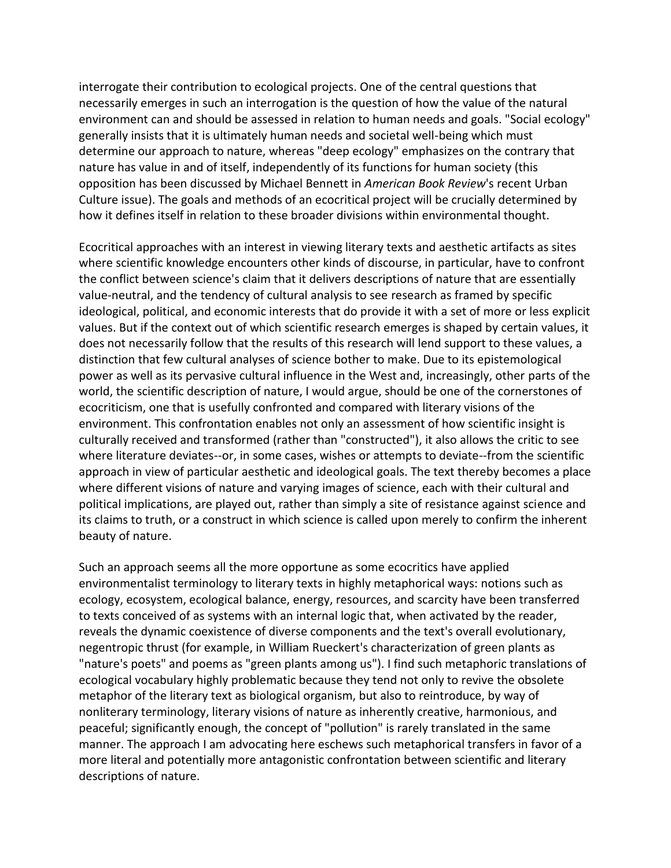interrogate their contribution to ecological projects. One of the central questions that necessarily emerges in such an interrogation is the question of how the value of the natural environment can and should be assessed in relation to human needs and goals. "Social ecology" generally insists that it is ultimately human needs and societal well-being which must determine our approach to nature, whereas "deep ecology" emphasizes on the contrary that nature has value in and of itself, independently of its functions for human society (this opposition has been discussed by Michael Bennett in *American Book Review*'s recent Urban Culture issue). The goals and methods of an ecocritical project will be crucially determined by how it defines itself in relation to these broader divisions within environmental thought.

Ecocritical approaches with an interest in viewing literary texts and aesthetic artifacts as sites where scientific knowledge encounters other kinds of discourse, in particular, have to confront the conflict between science's claim that it delivers descriptions of nature that are essentially value-neutral, and the tendency of cultural analysis to see research as framed by specific ideological, political, and economic interests that do provide it with a set of more or less explicit values. But if the context out of which scientific research emerges is shaped by certain values, it does not necessarily follow that the results of this research will lend support to these values, a distinction that few cultural analyses of science bother to make. Due to its epistemological power as well as its pervasive cultural influence in the West and, increasingly, other parts of the world, the scientific description of nature, I would argue, should be one of the cornerstones of ecocriticism, one that is usefully confronted and compared with literary visions of the environment. This confrontation enables not only an assessment of how scientific insight is culturally received and transformed (rather than "constructed"), it also allows the critic to see where literature deviates--or, in some cases, wishes or attempts to deviate--from the scientific approach in view of particular aesthetic and ideological goals. The text thereby becomes a place where different visions of nature and varying images of science, each with their cultural and political implications, are played out, rather than simply a site of resistance against science and its claims to truth, or a construct in which science is called upon merely to confirm the inherent beauty of nature.

Such an approach seems all the more opportune as some ecocritics have applied environmentalist terminology to literary texts in highly metaphorical ways: notions such as ecology, ecosystem, ecological balance, energy, resources, and scarcity have been transferred to texts conceived of as systems with an internal logic that, when activated by the reader, reveals the dynamic coexistence of diverse components and the text's overall evolutionary, negentropic thrust (for example, in William Rueckert's characterization of green plants as "nature's poets" and poems as "green plants among us"). I find such metaphoric translations of ecological vocabulary highly problematic because they tend not only to revive the obsolete metaphor of the literary text as biological organism, but also to reintroduce, by way of nonliterary terminology, literary visions of nature as inherently creative, harmonious, and peaceful; significantly enough, the concept of "pollution" is rarely translated in the same manner. The approach I am advocating here eschews such metaphorical transfers in favor of a more literal and potentially more antagonistic confrontation between scientific and literary descriptions of nature.